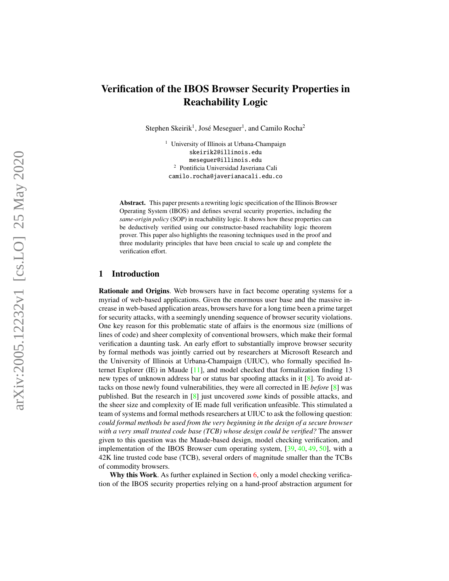# Verification of the IBOS Browser Security Properties in Reachability Logic

Stephen Skeirik<sup>1</sup>, José Meseguer<sup>1</sup>, and Camilo Rocha<sup>2</sup>

<sup>1</sup> University of Illinois at Urbana-Champaign skeirik2@illinois.edu meseguer@illinois.edu <sup>2</sup> Pontificia Universidad Javeriana Cali camilo.rocha@javerianacali.edu.co

Abstract. This paper presents a rewriting logic specification of the Illinois Browser Operating System (IBOS) and defines several security properties, including the *same-origin policy* (SOP) in reachability logic. It shows how these properties can be deductively verified using our constructor-based reachability logic theorem prover. This paper also highlights the reasoning techniques used in the proof and three modularity principles that have been crucial to scale up and complete the verification e ffort.

## 1 Introduction

Rationale and Origins. Web browsers have in fact become operating systems for a myriad of web-based applications. Given the enormous user base and the massive increase in web-based application areas, browsers have for a long time been a prime target for security attacks, with a seemingly unending sequence of browser security violations. One key reason for this problematic state of a ffairs is the enormous size (millions of lines of code) and sheer complexity of conventional browsers, which make their formal verification a daunting task. An early e ffort to substantially improve browser security by formal methods was jointly carried out by researchers at Microsoft Research and the University of Illinois at Urbana-Champaign (UIUC), who formally specified Internet Explorer (IE) in Maude [\[11\]](#page-15-0), and model checked that formalization finding 13 new types of unknown address bar or status bar spoofing attacks in it [ [8\]](#page-15-1). To avoid attacks on those newly found vulnerabilities, they were all corrected in IE *before* [\[8\]](#page-15-1) was published. But the research in [ [8\]](#page-15-1) just uncovered *some* kinds of possible attacks, and the sheer size and complexity of IE made full verification unfeasible. This stimulated a team of systems and formal methods researchers at UIUC to ask the following question: *could formal methods be used from the very beginning in the design of a secure browser with a very small trusted code base (TCB) whose design could be verified?* The answer given to this question was the Maude-based design, model checking verification, and implementation of the IBOS Browser cum operating system, [\[39](#page-16-0), [40](#page-16-1), [49](#page-17-0), [50\]](#page-17-1), with a 42K line trusted code base (TCB), several orders of magnitude smaller than the TCBs of commodity browsers.

Why this Work. As further explained in Section [6,](#page-13-0) only a model checking verification of the IBOS security properties relying on a hand-proof abstraction argument for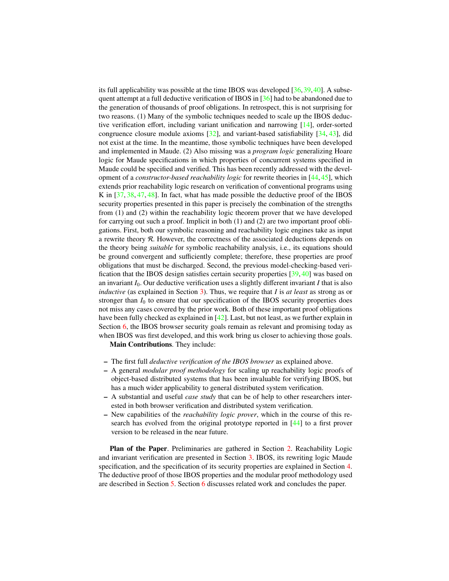its full applicability was possible at the time IBOS was developed [\[36,](#page-16-2)[39,](#page-16-0)[40\]](#page-16-1). A subsequent attempt at a full deductive verification of IBOS in [\[36\]](#page-16-2) had to be abandoned due to the generation of thousands of proof obligations. In retrospect, this is not surprising for two reasons. (1) Many of the symbolic techniques needed to scale up the IBOS deductive verification effort, including variant unification and narrowing [\[14\]](#page-15-2), order-sorted congruence closure module axioms [\[32\]](#page-16-3), and variant-based satisfiability [\[34,](#page-16-4) [43\]](#page-17-2), did not exist at the time. In the meantime, those symbolic techniques have been developed and implemented in Maude. (2) Also missing was a *program logic* generalizing Hoare logic for Maude specifications in which properties of concurrent systems specified in Maude could be specified and verified. This has been recently addressed with the development of a *constructor-based reachability logic* for rewrite theories in [\[44,](#page-17-3) [45\]](#page-17-4), which extends prior reachability logic research on verification of conventional programs using K in [\[37,](#page-16-5) [38,](#page-16-6) [47,](#page-17-5) [48\]](#page-17-6). In fact, what has made possible the deductive proof of the IBOS security properties presented in this paper is precisely the combination of the strengths from (1) and (2) within the reachability logic theorem prover that we have developed for carrying out such a proof. Implicit in both (1) and (2) are two important proof obligations. First, both our symbolic reasoning and reachability logic engines take as input a rewrite theory R. However, the correctness of the associated deductions depends on the theory being *suitable* for symbolic reachability analysis, i.e., its equations should be ground convergent and sufficiently complete; therefore, these properties are proof obligations that must be discharged. Second, the previous model-checking-based verification that the IBOS design satisfies certain security properties [\[39,](#page-16-0) [40\]](#page-16-1) was based on an invariant  $I_0$ . Our deductive verification uses a slightly different invariant  $I$  that is also *inductive* (as explained in Section [3\)](#page-5-0). Thus, we require that *I* is *at least* as strong as or stronger than  $I_0$  to ensure that our specification of the IBOS security properties does not miss any cases covered by the prior work. Both of these important proof obligations have been fully checked as explained in [\[42\]](#page-17-7). Last, but not least, as we further explain in Section [6,](#page-13-0) the IBOS browser security goals remain as relevant and promising today as when IBOS was first developed, and this work bring us closer to achieving those goals.

Main Contributions. They include:

- The first full *deductive verification of the IBOS browser* as explained above.
- A general *modular proof methodology* for scaling up reachability logic proofs of object-based distributed systems that has been invaluable for verifying IBOS, but has a much wider applicability to general distributed system verification.
- A substantial and useful *case study* that can be of help to other researchers interested in both browser verification and distributed system verification.
- New capabilities of the *reachability logic prover*, which in the course of this research has evolved from the original prototype reported in [\[44\]](#page-17-3) to a first prover version to be released in the near future.

Plan of the Paper. Preliminaries are gathered in Section [2.](#page-2-0) Reachability Logic and invariant verification are presented in Section [3.](#page-5-0) IBOS, its rewriting logic Maude specification, and the specification of its security properties are explained in Section [4.](#page-8-0) The deductive proof of those IBOS properties and the modular proof methodology used are described in Section [5.](#page-11-0) Section [6](#page-13-0) discusses related work and concludes the paper.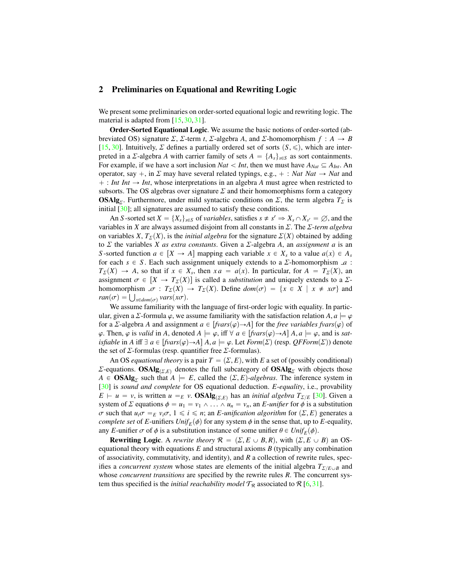## <span id="page-2-0"></span>2 Preliminaries on Equational and Rewriting Logic

We present some preliminaries on order-sorted equational logic and rewriting logic. The material is adapted from [\[15,](#page-15-3) [30,](#page-16-7) [31\]](#page-16-8).

Order-Sorted Equational Logic. We assume the basic notions of order-sorted (abbreviated OS) signature  $\Sigma$ ,  $\Sigma$ -term *t*,  $\Sigma$ -algebra *A*, and  $\Sigma$ -homomorphism  $f : A \rightarrow B$ [\[15,](#page-15-3) [30\]](#page-16-7). Intuitively,  $\Sigma$  defines a partially ordered set of sorts  $(S, \leq)$ , which are interpreted in a *Σ*-algebra *A* with carrier family of sets  $A = \{A_s\}_{s \in S}$  as sort containments. For example, if we have a sort inclusion *Nat* < *Int*, then we must have  $A_{Nat} \subseteq A_{Int}$ . An operator, say  $+$ , in  $\Sigma$  may have several related typings, e.g.,  $+$ : *Nat Nat*  $\rightarrow$  *Nat* and  $+ : Int Int \rightarrow Int$ , whose interpretations in an algebra *A* must agree when restricted to subsorts. The OS algebras over signature  $\Sigma$  and their homomorphisms form a category **OSAlg**<sub> $\Sigma$ </sub>. Furthermore, under mild syntactic conditions on  $\Sigma$ , the term algebra  $T_{\Sigma}$  is initial [30]: all signatures are assumed to satisfy these conditions initial [\[30\]](#page-16-7); all signatures are assumed to satisfy these conditions.

An *S*-sorted set  $X = \{X_s\}_{s \in S}$  of *variables*, satisfies  $s \neq s' \Rightarrow X_s \cap X_{s'} = \emptyset$ , and the variables in *<sup>X</sup>* are always assumed disjoint from all constants in Σ. The Σ-*term algebra* on variables *X*,  $T_{\Sigma}(X)$ , is the *initial algebra* for the signature  $\Sigma(X)$  obtained by adding to Σ the variables *X as extra constants*. Given a Σ-algebra *<sup>A</sup>*, an *assignment a* is an *S*-sorted function  $a \in [X \rightarrow A]$  mapping each variable  $x \in X_s$  to a value  $a(x) \in A_s$ for each  $s \in S$ . Each such assignment uniquely extends to a  $\Sigma$ -homomorphism  $a$ :  $T_{\Sigma}(X) \rightarrow A$ , so that if  $x \in X_s$ , then  $xa = a(x)$ . In particular, for  $A = T_{\Sigma}(X)$ , an expressionment  $\pi \in [X \cup T_{\Sigma}(X)]$  is solled a substitution and uniqually extends to a  $\Sigma$ assignment  $\sigma \in [X \to T_{\Sigma}(X)]$  is called a *substitution* and uniquely extends to a  $\Sigma$ homomorphism  $\sigma$  :  $T_{\Sigma}(X) \to T_{\Sigma}(X)$ . Define  $dom(\sigma) = \{x \in X \mid x \neq x\sigma\}$  and *<i>ran*( $\sigma$ ) =  $\bigcup_{x \in dom(\sigma)} vars(x\sigma)$ .<br> *Vo* assume familiarity with

We assume familiarity with the language of first-order logic with equality. In particular, given a *Σ*-formula  $\varphi$ , we assume familiarity with the satisfaction relation *A*,  $a \models \varphi$ for a *Σ*-algebra *A* and assignment  $a \in [fvars(\varphi) \rightarrow A]$  for the *free variables fvars* $(\varphi)$  of  $\varphi$ . Then,  $\varphi$  is *valid* in *A*, denoted  $A \models \varphi$ , iff  $\forall a \in [\text{fvars}(\varphi) \rightarrow A]$   $A, a \models \varphi$ , and is *satisfiable* in *A* iff  $\exists a \in [fvars(\varphi) \rightarrow A]$  *A*,  $a \models \varphi$ . Let  $Form(\Sigma)$  (resp.  $QFForm(\Sigma)$ ) denote the set of  $\Sigma$ -formulas (resp. quantifier free  $\Sigma$ -formulas).

An OS *equational theory* is a pair  $T = (\Sigma, E)$ , with *E* a set of (possibly conditional) Σ-equations. OSAlg<sub>(ΣE)</sub> denotes the full subcategory of OSAlg<sub>Σ</sub> with objects those *A*  $\in$  **OSAlg**<sub>Σ</sub> such that *A*  $\models$  *E*, called the  $(\Sigma, E)$ -*algebras*. The inference system in  $\Xi$ 01 is sound and counlete for OS equational deduction *E-equality* i.e. provability [\[30\]](#page-16-7) is *sound and complete* for OS equational deduction. *E*-*equality*, i.e., provability  $E \vdash u = v$ , is written  $u =_E v$ . **OSAlg**<sub>(Σ*E*)</sub> has an *initial algebra*  $T_{\Sigma/E}$  [\[30\]](#page-16-7). Given a system of  $\Sigma$  equations  $\phi = u_1 = v_1 \wedge \ldots \wedge u_n = v_n$ , an *E*-*unifier* for  $\phi$  is a substitution *σ* such that  $u_i$ *σ* = *E*  $v_i$ *σ*, 1 ≤ *i* ≤ *n*; an *E*-*unification algorithm* for (*Σ, E*) generates a *complete set* of *E*-unifiers  $Unif_E(\phi)$  for any system  $\phi$  in the sense that, up to *E*-equality, any *E*-unifier  $\sigma$  of  $\phi$  is a substitution instance of some unifier  $\theta \in Unif_E(\phi)$ any *E*-unifier  $\sigma$  of  $\phi$  is a substitution instance of some unifier  $\theta \in \text{Unif}_E(\phi)$ .<br>**Powriting Logie**, A rawrite theory  $\mathcal{P} = (\sum E + B \cdot P)$  with  $(\sum E + P)$ 

**Rewriting Logic.** A *rewrite theory*  $\mathcal{R} = (\Sigma, E \cup B, R)$ , with  $(\Sigma, E \cup B)$  an OSequational theory with equations *E* and structural axioms *B* (typically any combination of associativity, commutativity, and identity), and *R* a collection of rewrite rules, specifies a *concurrent system* whose states are elements of the initial algebra  $T_{\Sigma/E\cup B}$  and whose *concurrent transitions* are specified by the rewrite rules *R*. The concurrent system thus specified is the *initial reachability model*  $\mathcal{T}_R$  associated to R [\[6,](#page-15-4)[31\]](#page-16-8).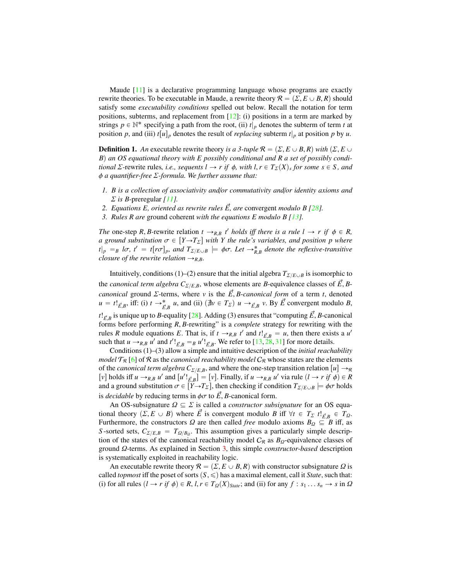Maude [\[11\]](#page-15-0) is a declarative programming language whose programs are exactly rewrite theories. To be executable in Maude, a rewrite theory  $\mathcal{R} = (\Sigma, E \cup B, R)$  should satisfy some *executability conditions* spelled out below. Recall the notation for term positions, subterms, and replacement from [\[12\]](#page-15-5): (i) positions in a term are marked by strings  $p \in \mathbb{N}^*$  specifying a path from the root, (ii)  $t|_p$  denotes the subterm of term *t* at position *p*, and (iii)  $t[u]_p$  denotes the result of *replacing* subterm  $t|_p$  at position *p* by *u*.

**Definition 1.** An executable rewrite theory *is a 3-tuple*  $\mathcal{R} = (\Sigma, E \cup B, R)$  *with*  $(\Sigma, E \cup B, R)$ *B*) an OS equational theory with *E* possibly conditional and *R* a set of possibly condi*tional*  $\Sigma$ -rewrite rules, *i.e., sequents*  $l \to r$  *if*  $\phi$ *, with*  $l$ *,r*  $\in T_{\Sigma}(X)$ *s for some s*  $\in$  *S, and*  $\phi$  *a quantifier-free*  $\Sigma$ -*formula We further assume that* φ *a quantifier-free* Σ*-formula. We further assume that:*

- *1. B is a collection of associativity and*/*or commutativity and*/*or identity axioms and* Σ *is B-*preregular *[\[11\]](#page-15-0).*
- *2. Equations E, oriented as rewrite rules*  $\vec{E}$ *, are convergent <i>modulo B* [\[28\]](#page-16-9)*.*
- *3. Rules R are* ground coherent *with the equations E modulo B [\[13\]](#page-15-6).*

*The* one-step *R*, *B*-rewrite relation  $t \rightarrow R$ ,*B*  $t'$  *holds iff there is a rule*  $l \rightarrow r$  *if*  $\phi \in R$ ,<br>*a ground substitution*  $\sigma \in [Y \rightarrow T_{\sigma}]$  with *Y* the rule's variables, and position *n* where *a* ground substitution  $\sigma \in [Y \rightarrow T_{\Sigma}]$  with *Y* the rule's variables, and position p where  $t|_p = B$  *lot*,  $t' = t[ro]_p$ , and  $T_{\Sigma/E \cup B} \models \phi \sigma$ . Let  $\rightarrow_{R,B}^*$  denote the reflexive-transitive closure of the rewrite relation  $\rightarrow_{R,B}$ *closure of the rewrite relation*  $\rightarrow_{R,B}$ *.* 

Intuitively, conditions (1)–(2) ensure that the initial algebra  $T_{\Sigma/E\cup B}$  is isomorphic to the *canonical term algebra*  $C_{\Sigma/E,B}$ , whose elements are *B*-equivalence classes of  $\vec{E}$ , *Bcanonical* ground *Σ*-terms, where *v* is the  $\vec{E}$ , *B*-*canonical form* of a term *t*, denoted  $u = t!_{\vec{E},B}$ , iff: (i)  $t \rightarrow_{\vec{E}}^*$ <sup>\*</sup><sub>*E*,*B*</sub> *u*, and (ii)  $(\nexists v \in T_{\Sigma})$  *u*  $\rightarrow$ <sub>*E*,*B*</sub> *v*. By  $\vec{E}$  convergent modulo *B*,  $t!_{\vec{E},B}$  is unique up to *B*-equality [\[28\]](#page-16-9). Adding (3) ensures that "computing  $\vec{E}, B$ -canonical forms before performing *R*. *B*-rewriting" is a *complete* strategy for rewriting with the Fig. B is unique up to *B*-equantly [20]. Adding (3) ensures that computing *E*, *B*-canonical forms before performing *R*, *B*-rewriting" is a *complete* strategy for rewriting with the rules *R* module equations *F*. Th rules *R* module equations *E*. That is, if  $t \rightarrow_{R,B} t'$  and  $t'_{\cdot,B} = u$ , then there exists a *u'*<br>such that  $u \rightarrow_{R,B} u'$  and  $t'_{\cdot,A} = u''_{\cdot,A}$ . We refer to [13.28, 31] for more details such that  $u \rightarrow_{R,B} u'$  and  $t' \, |_{\vec{E},B} = B \, u' \, |_{\vec{E},B}$ . We refer to [\[13,](#page-15-6) [28,](#page-16-9) [31\]](#page-16-8) for more details.<br>Conditions (1)–(3) allow a simple and intuitive description of the *initial reach* 

Final  $u \rightarrow_{R,B} u$  and  $v \neq_{B,B} u \rightarrow_{E,B} u \rightarrow_{E,B} u \rightarrow_{E,B} u \rightarrow_{E,B} u \rightarrow_{E,B} u \rightarrow_{E,B} u \rightarrow_{E,B} u \rightarrow_{E,B} u \rightarrow_{E,B} u \rightarrow_{E,B} u \rightarrow_{E,B} u \rightarrow_{E,B} u \rightarrow_{E,B} u \rightarrow_{E,B} u \rightarrow_{E,B} u \rightarrow_{E,B} u \rightarrow_{E,B} u \rightarrow_{E,B} u \rightarrow_{E,B} u \rightarrow_{E,B} u \rightarrow_{E,B} u \rightarrow_{E,B} u \rightarrow_{E,B} u \rightarrow_{E,B} u \rightarrow_{E,B} u \rightarrow_{E,B} u \rightarrow_{E,B} u \$ *model*  $\mathcal{T}_{\mathcal{R}}$  [\[6\]](#page-15-4) of  $\mathcal{R}$  as the *canonical reachability model*  $C_{\mathcal{R}}$  whose states are the elements of the *canonical term algebra*  $C_{\Sigma/E,B}$ , and where the one-step transition relation  $[u] \rightarrow_R$ [v] holds iff  $u \to_{R,B} u'$  and  $[u']_{\vec{E},B} = [v]$ . Finally, if  $u \to_{R,B} u'$  via rule  $(l \to r \text{ if } \phi) \in R$ <br>and a ground substitution  $\sigma \in [V \to T_{\text{rel}}]$  then checking if condition  $T_{\text{rel}} \to \phi \sigma$  holds and a ground substitution  $\sigma \in [Y \rightarrow T_{\Sigma}]$ , then checking if condition  $T_{\Sigma/E \cup B} \models \phi \sigma$  holds is *decidable* by reducing terms in  $\phi \sigma$  to  $\vec{E}$ , *B*-canonical form.

An OS-subsignature  $\Omega \subseteq \Sigma$  is called a *constructor subsignature* for an OS equational theory  $(\Sigma, E \cup B)$  where *E* is convergent modulo *B* iff  $\forall t \in T_{\Sigma}$  *t*!  ${}_{\vec{E}, B}^{\gamma} \in T_{\Omega}$ .<br>Furthermore, the constructors *O* are then called *tree* modulo axioms  $B_{\Omega} \subset B$  iff as Furthermore, the constructors  $\Omega$  are then called *free* modulo axioms  $B_{\Omega} \subseteq B$  iff, as<br>Furthermore, the constructors  $\Omega$  are then called *free* modulo axioms  $B_{\Omega} \subseteq B$  iff, as *S*-sorted sets,  $C_{\Sigma/E,B} = T_{\Omega/B_Q}$ . This assumption gives a particularly simple descrip-<br>tion of the states of the cononical reachability model  $C_{\Omega}$  as  $B_{\Omega}$  conjugations also tion of the states of the canonical reachability model  $C_R$  as  $B_Q$ -equivalence classes of ground Ω-terms. As explained in Section [3,](#page-5-0) this simple *constructor-based* description is systematically exploited in reachability logic.

An executable rewrite theory  $\mathcal{R} = (\Sigma, E \cup B, R)$  with constructor subsignature  $\Omega$  is called *topmost* iff the poset of sorts  $(S, \leq)$  has a maximal element, call it *State*, such that: (i) for all rules  $(l \rightarrow r \text{ if } \phi) \in R$ ,  $l, r \in T_{\Omega}(X)_{State}$ ; and (ii) for any  $f : s_1 \dots s_n \rightarrow s$  in  $\Omega$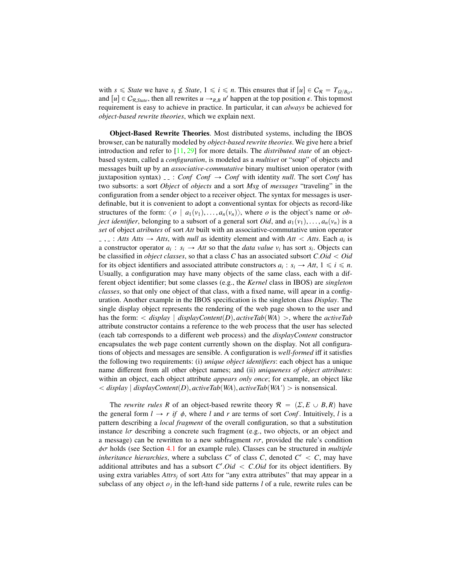with  $s \leq$  *State* we have  $s_i \nleq$  *State*,  $1 \leq i \leq n$ . This ensures that if  $[u] \in C_R = T_{\Omega/B_Q}$ , and  $[u] \in C$ , then all requires  $u \to v'$  hence the ten position  $\in$  This tenment and  $[u] \in C_{R,State}$ , then all rewrites  $u \rightarrow_{R,B} u'$  happen at the top position  $\epsilon$ . This topmost requirement is easy to achieve in practice. In particular, it can *always* be achieved for requirement is easy to achieve in practice. In particular, it can *always* be achieved for *object-based rewrite theories*, which we explain next.

Object-Based Rewrite Theories. Most distributed systems, including the IBOS browser, can be naturally modeled by *object-based rewrite theories*. We give here a brief introduction and refer to [\[11,](#page-15-0) [29\]](#page-16-10) for more details. The *distributed state* of an objectbased system, called a *configuration*, is modeled as a *multiset* or "soup" of objects and messages built up by an *associative-commutative* binary multiset union operator (with juxtaposition syntax)  $\Box$  *Conf Conf*  $\rightarrow$  *Conf* with identity *null*. The sort *Conf* has two subsorts: a sort *Object* of *objects* and a sort *Msg* of *messages* "traveling" in the configuration from a sender object to a receiver object. The syntax for messages is userdefinable, but it is convenient to adopt a conventional syntax for objects as record-like structures of the form:  $\langle o | a_1(v_1), \ldots, a_n(v_n) \rangle$ , where *o* is the object's name or *object identifier*, belonging to a subsort of a general sort *Oid*, and  $a_1(v_1), \ldots, a_n(v_n)$  is a *set* of object *atributes* of sort *Att* built with an associative-commutative union operator , : *Atts Atts* <sup>Ñ</sup> *Atts*, with *null* as identity element and with *Att* <sup>ă</sup> *Atts*. Each *<sup>a</sup><sup>i</sup>* is a constructor operator  $a_i : s_i \to Att$  so that the *data value v<sub>i</sub>* has sort  $s_i$ . Objects can be classified in *object classes*, so that a class *C* has an associated subsort *C*.*Oid*  $\lt$  *Oid* for its object identifiers and associated attribute constructors  $a_i : s_i \to Att$ ,  $1 \leq i \leq n$ . Usually, a configuration may have many objects of the same class, each with a different object identifier; but some classes (e.g., the *Kernel* class in IBOS) are *singleton classes*, so that only one object of that class, with a fixed name, will apear in a configuration. Another example in the IBOS specification is the singleton class *Display*. The single display object represents the rendering of the web page shown to the user and has the form:  $\langle$  *display* | *displayContent*(*D*), *activeTab*(*WA*) >, where the *activeTab* attribute constructor contains a reference to the web process that the user has selected (each tab corresponds to a different web process) and the *displayContent* constructor encapsulates the web page content currently shown on the display. Not all configurations of objects and messages are sensible. A configuration is *well-formed* iff it satisfies the following two requirements: (i) *unique object identifiers*: each object has a unique name different from all other object names; and (ii) *uniqueness of object attributes*: within an object, each object attribute *appears only once*; for example, an object like  $d$  *display*  $\Box$  *displayContent*(*D*), *activeTab*(*WA*), *activeTab*(*WA*<sup> $\Diamond$ </sup>)  $>$  is nonsensical.

The *rewrite rules R* of an object-based rewrite theory  $\mathcal{R} = (\Sigma, E \cup B, R)$  have the general form  $l \rightarrow r$  *if*  $\phi$ , where *l* and *r* are terms of sort *Conf*. Intuitively, *l* is a pattern describing a *local fragment* of the overall configuration, so that a substitution instance  $l\sigma$  describing a concrete such fragment (e.g., two objects, or an object and a message) can be rewritten to a new subfragment  $r\sigma$ , provided the rule's condition φσ holds (see Section [4.1](#page-8-1) for an example rule). Classes can be structured in *multiple inheritance hierarchies*, where a subclass  $C'$  of class  $C$ , denoted  $C' < C$ , may have additional attributes and has a subsort  $C'.Old < C.Old$  for its object identifiers. By using extra variables  $Atres$ , of sort  $Atres$  for "any extra attributes" that may appear in a using extra variables *Attrs<sup>j</sup>* of sort *Atts* for "any extra attributes" that may appear in a subclass of any object  $o_j$  in the left-hand side patterns *l* of a rule, rewrite rules can be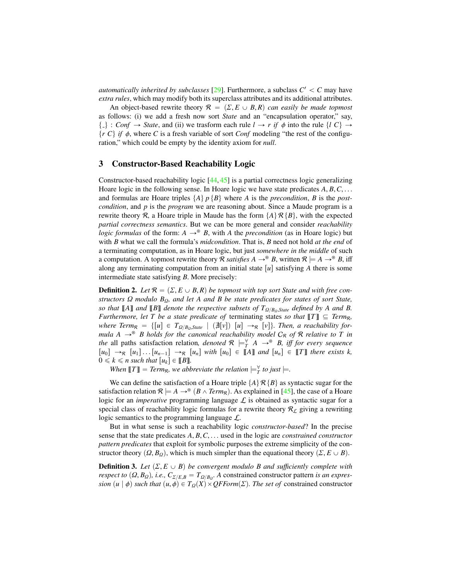*automatically inherited by subclasses* [ $29$ ]. Furthermore, a subclass  $C' < C$  may have *extra rules*, which may modify both its superclass attributes and its additional attributes.

An object-based rewrite theory  $R = (\Sigma, E \cup B, R)$  *can easily be made topmost* as follows: (i) we add a fresh now sort *State* and an "encapsulation operator," say,  $\{\cdot\}$ : *Conf*  $\rightarrow$  *State*, and (ii) we trasform each rule  $l \rightarrow r$  if  $\phi$  into the rule  $\{l \ C\}$   $\rightarrow$  $\{r \in C\}$  *if*  $\phi$ , where C is a fresh variable of sort *Conf* modeling "the rest of the configuration," which could be empty by the identity axiom for *null*.

### <span id="page-5-0"></span>3 Constructor-Based Reachability Logic

Constructor-based reachability logic [\[44,](#page-17-3) [45\]](#page-17-4) is a partial correctness logic generalizing Hoare logic in the following sense. In Hoare logic we have state predicates *<sup>A</sup>*, *<sup>B</sup>*,*C*, . . . and formulas are Hoare triples  $\{A\}$   $p$   $\{B\}$  where *A* is the *precondition*, *B* is the *postcondition*, and *p* is the *program* we are reasoning about. Since a Maude program is a rewrite theory R, a Hoare triple in Maude has the form  $\{A\} \mathcal{R} \{B\}$ , with the expected *partial correctness semantics*. But we can be more general and consider *reachability logic formulas* of the form:  $A \rightarrow^{\circledast} B$ , with *A* the *precondition* (as in Hoare logic) but with *B* what we call the formula's *midcondition*. That is, *B* need not hold *at the end* of a terminating computation, as in Hoare logic, but just *somewhere in the middle* of such a computation. A topmost rewrite theory R *satisfies*  $A \rightarrow \mathscr{B} B$ , written  $\mathcal{R} \models A \rightarrow \mathscr{B} B$ , iff along any terminating computation from an initial state  $\lbrack u \rbrack$  satisfying *A* there is some intermediate state satisfying *B*. More precisely:

**Definition 2.** Let  $\mathcal{R} = (\Sigma, E \cup B, R)$  be topmost with top sort State and with free con*structors* <sup>Ω</sup> *modulo B*Ω*, and let A and B be state predicates for states of sort State, so that*  $\llbracket A \rrbracket$  *and*  $\llbracket B \rrbracket$  *denote the respective subsets of*  $T_{\Omega/B_0, State}$  *defined by A and B. Furthermore, let T be a state predicate of terminating states so that*  $\llbracket T \rrbracket \subseteq Term_R$ , *where Term*<sub> $\mathcal{R}$  = {[u]  $\in T_{\Omega/B_Q, State}$  | ( $\sharp$ [v]) [u]  $\rightarrow_{\mathcal{R}}$  [v]}. Then, a reachability for-</sub> *mula*  $A \rightarrow \mathcal{B}$  *B* holds for the canonical reachability model  $C_R$  of R relative to T in *the* all paths satisfaction relation, denoted  $\mathcal{R} \models_T^{\forall} A \rightarrow^{\circ} B$ , iff for every sequence  $[u_0] \rightarrow_R [u_1] \dots [u_{n-1}] \rightarrow_R [u_n]$  with  $[u_0] \in [A]$  and  $[u_n] \in [T]$  there exists k,  $0 \leq k \leq n$  such that  $[u_k] \in [B]$ .

*When*  $[[T]] = Term_R$ *, we abbreviate the relation*  $\models_T^{\forall}$  *to just*  $\models$ .

We can define the satisfaction of a Hoare triple  $\{A\} \mathcal{R} \{B\}$  as syntactic sugar for the satisfaction relation  $\mathcal{R} \models A \rightarrow^{\circledast} (B \land \text{Term}_\mathcal{R})$ . As explained in [\[45\]](#page-17-4), the case of a Hoare logic for an *imperative* programming language  $\mathcal{L}$  is obtained as syntactic sugar for a special class of reachability logic formulas for a rewrite theory  $\mathcal{R}_L$  giving a rewriting logic semantics to the programming language  $\mathcal{L}$ .

But in what sense is such a reachability logic *constructor-based*? In the precise sense that the state predicates *<sup>A</sup>*, *<sup>B</sup>*,*C*, . . . used in the logic are *constrained constructor pattern predicates* that exploit for symbolic purposes the extreme simplicity of the constructor theory  $(\Omega, B_{\Omega})$ , which is much simpler than the equational theory  $(\Sigma, E \cup B)$ .

**Definition 3.** Let  $(\Sigma, E \cup B)$  be convergent modulo B and sufficiently complete with *respect to*  $(\Omega, B_{\Omega})$ , *i.e.*,  $C_{\Sigma/E,B} = T_{\Omega/B_{\Omega}}$ . A constrained constructor pattern *is an expres-*<br> *sion*  $(u \mid \phi)$  such that  $(u \mid \phi) \in T_{\Omega}(X) \times OEForm(\Sigma)$ . The set of constrained constructor *sion*  $(u | \phi)$  *such that*  $(u, \phi) \in T_{\Omega}(X) \times QFForm(\Sigma)$ *. The set of* constrained constructor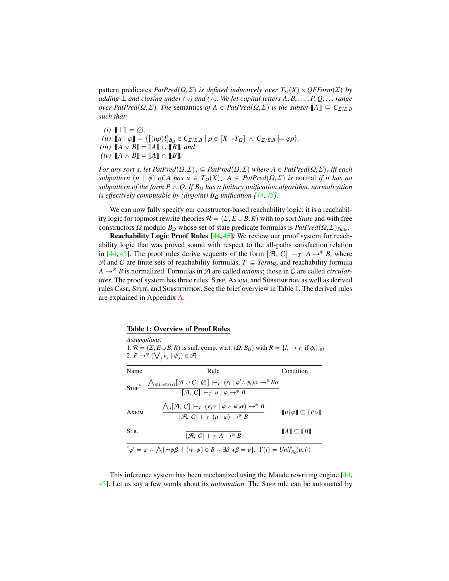pattern predicates *PatPred* $(\Omega, \Sigma)$  *is defined inductively over*  $T_{\Omega}(X) \times QFForm(\Sigma)$  *by adding*  $\perp$  *and closing under* ( $\vee$ ) *and* ( $\wedge$ ). We let capital letters A, B, . . . , P, Q, . . . range *over PatPred* $(\Omega, \Sigma)$ *. The semantics of A*  $\in$  *PatPred* $(\Omega, \Sigma)$  *is the subset*  $\llbracket A \rrbracket \subseteq C_{\Sigma/E,B}$ *such that:*

*(i)*  $\llbracket \perp \rrbracket = \emptyset$ , *(ii)*  $[\![u \mid \varphi]\!] = \{ [(u\rho)!]_{B_{\Omega}} \in C_{\Sigma/E,B} \mid \rho \in [X \to T_{\Omega}] \land C_{\Sigma/E,B} \models \varphi \rho \},\$ *(iii)*  $[ A \vee B ] = [A ] \cup [B ]$ *, and*  $(iv)$   $[A \wedge B] = [A] \cap [B].$ 

*For any sort s, let PatPred* $(\Omega, \Sigma)$ <sub>*s*</sub>  $\subseteq$  *PatPred* $(\Omega, \Sigma)$  *where A*  $\in$  *PatPred* $(\Omega, \Sigma)$ <sub>*s*</sub> *iff each subpattern*  $(\mu \mid \phi)$  of A has  $\mu \in T_{\alpha}(X)$  A  $\in$  *PatPred* $(\Omega, \Sigma)$  *is pormal if it has no*  $subpattern (u | \phi)$  *of A has u*  $\in T_{\Omega}(X)$ *s.*  $A \in PartPred(\Omega, \Sigma)$  *is normal if it has no*<br>*subpattern of the form P*  $\wedge$  *O If B* $\wedge$  *has a finitary unification algorithm normalization subpattern of the form P*  $\land$  *Q. If B*<sub> $\Omega$ </sub> *has a finitary unification algorithm, normalization is effectively computable by (disjoint)*  $B_{\Omega}$  *unification [\[44,](#page-17-3) [45\]](#page-17-4).* 

We can now fully specify our constructor-based reachability logic: it is a reachability logic for topmost rewrite theories  $\mathcal{R} = (\Sigma, E \cup B, R)$  with top sort *State* and with free constructors  $\Omega$  modulo  $B_{\Omega}$  whose set of state predicate formulas is  $PatPred(\Omega, \Sigma)_{State}$ .

Reachability Logic Proof Rules [\[44,](#page-17-3) [45\]](#page-17-4). We review our proof system for reachability logic that was proved sound with respect to the all-paths satisfaction relation in [\[44,](#page-17-3) [45\]](#page-17-4). The proof rules derive sequents of the form  $[\mathcal{A}, C] \vdash_T A \rightarrow^{\circledast} B$ , where A and C are finite sets of reachability formulas,  $T \subseteq \text{Term}_R$ , and reachability formula  $A \rightarrow^{\circledast} B$  is normalized. Formulas in  $\mathcal A$  are called *axioms*; those in C are called *circularities*. The proof system has three rules: STEP, Axiom, and Subsumption as well as derived rules Case, Split, and Substitution. See the brief overview in Table [1.](#page-6-0) The derived rules are explained in Appendix [A.](#page-17-8)

#### <span id="page-6-0"></span>Table 1: Overview of Proof Rules

*Assumptions:* 1.  $\mathcal{R} = (\Sigma, E \cup B, R)$  is suff. comp. w.r.t.  $(\Omega, B_{\Omega})$  with  $R = \{l_i \rightarrow r_i \text{ if } \phi_i\}_{i \in I}$ <br>2.  $P \rightarrow^{\circ} (\setminus l, v_i, |u_i|) \in \mathcal{A}$ 2.  $P \rightarrow^{\circledast} (\bigvee_j v_j \mid \psi_j) \in \mathcal{A}$ 

| Name              | Rule                                                                                                                                                                                                | Condition                                                                       |
|-------------------|-----------------------------------------------------------------------------------------------------------------------------------------------------------------------------------------------------|---------------------------------------------------------------------------------|
| Step <sup>*</sup> | $\frac{\bigwedge_{i\in I, \alpha\in Y(i)} [\mathcal{A}\cup C, \varnothing] \vdash_T (r_i \mid \varphi'\wedge\phi_i)\alpha \to^\circ B\alpha}{[\mathcal{A}, C] \vdash_T u \mid \varphi \to^\circ B}$ |                                                                                 |
|                   |                                                                                                                                                                                                     |                                                                                 |
| <b>AXIOM</b>      | $\bigwedge_i [\mathcal{A}, C] \vdash_T (v_j \alpha \mid \varphi \wedge \psi_j \alpha) \rightarrow^{\circledast} B$<br>$[\mathcal{A}, C] \vdash_T (u   \varphi) \rightarrow \mathcal{B}$             | $\llbracket u \vert \varphi \rrbracket \subseteq \llbracket P\alpha \rrbracket$ |
| SUB.              | $[\mathcal{A}, C] \vdash_T A \rightarrow^{\circledast} B$                                                                                                                                           | $\llbracket A \rrbracket \subseteq \llbracket B \rrbracket$                     |
|                   | $\psi^* \varphi' = \varphi \wedge \bigwedge \{\neg \psi \beta \mid (w \psi) \in B \wedge \exists \beta \ w \beta = u \}, Y(i) = Unif_{B_0}(u, l_i)$                                                 |                                                                                 |

This inference system has been mechanized using the Maude rewriting engine [\[44,](#page-17-3) [45\]](#page-17-4). Let us say a few words about its *automation*. The Step rule can be automated by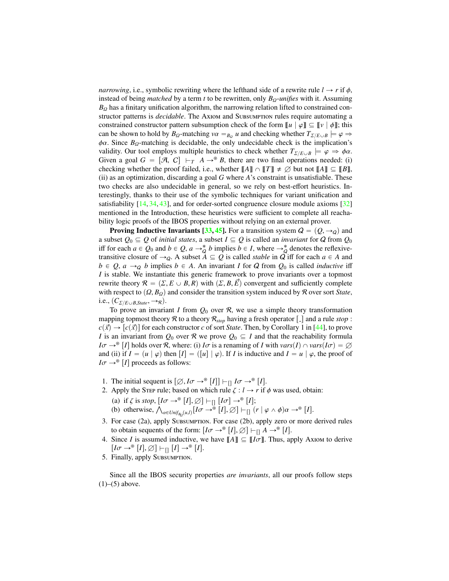*narrowing*, i.e., symbolic rewriting where the lefthand side of a rewrite rule  $l \rightarrow r$  if  $\phi$ , instead of being *matched* by a term *<sup>t</sup>* to be rewritten, only *<sup>B</sup>*Ω-*unifies* with it. Assuming *<sup>B</sup>*Ω has a finitary unification algorithm, the narrowing relation lifted to constrained constructor patterns is *decidable*. The Axiom and Subsumption rules require automating a constrained constructor pattern subsumption check of the form  $\llbracket u \mid \varphi \rrbracket \subseteq \llbracket v \mid \phi \rrbracket$ ; this can be shown to hold by  $B_{\Omega}$ -matching  $v\alpha =_{B_{\Omega}} u$  and checking whether  $T_{\Sigma/E \cup B} \models \varphi \Rightarrow$ <br>do Since *B*<sub>0</sub>-matching is decidable, the only undecidable check is the implication's  $\phi \alpha$ . Since  $B_{\Omega}$ -matching is decidable, the only undecidable check is the implication's validity. Our tool employs multiple heuristics to check whether  $T_{\Sigma/E\cup B} \models \varphi \Rightarrow \phi\alpha$ . Given a goal  $G = [\mathcal{A}, C] \vdash_T A \rightarrow^{\circledast} B$ , there are two final operations needed: (i) checking whether the proof failed, i.e., whether  $\llbracket A \rrbracket \cap \llbracket T \rrbracket \neq \emptyset$  but not  $\llbracket A \rrbracket \subseteq \llbracket B \rrbracket$ , (ii) as an optimization, discarding a goal *G* where *A*'s constraint is unsatisfiable. These two checks are also undecidable in general, so we rely on best-effort heuristics. Interestingly, thanks to their use of the symbolic techniques for variant unification and satisfiability [\[14,](#page-15-2) [34,](#page-16-4) [43\]](#page-17-2), and for order-sorted congruence closure module axioms [\[32\]](#page-16-3) mentioned in the Introduction, these heuristics were sufficient to complete all reachability logic proofs of the IBOS properties without relying on an external prover.

**Proving Inductive Invariants [\[33,](#page-16-11) [45\]](#page-17-4).** For a transition system  $Q = (Q, \rightarrow_Q)$  and a subset  $Q_0 \subseteq Q$  of *initial states*, a subset  $I \subseteq Q$  is called an *invariant* for  $Q$  from  $Q_0$ iff for each  $a \in Q_0$  and  $b \in Q$ ,  $a \rightarrow_Q^* b$  implies  $b \in I$ , where  $\rightarrow_Q^*$  denotes the reflexivetransitive closure of  $\rightarrow_Q$ . A subset  $A \subseteq Q$  is called *stable* in Q iff for each  $a \in A$  and  $b \in Q$ ,  $a \rightarrow_Q b$  implies  $b \in A$ . An invariant *I* for *Q* from  $Q_0$  is called *inductive* iff *I* is stable. We instantiate this generic framework to prove invariants over a topmost rewrite theory  $\mathcal{R} = (\Sigma, E \cup B, R)$  with  $(\Sigma, B, \vec{E})$  convergent and sufficiently complete with respect to  $(Q, B<sub>Q</sub>)$  and consider the transition system induced by R over sort *State*, i.e.,  $(C_{\Sigma/E\cup B,State}, \rightarrow_R)$ .

To prove an invariant *I* from  $Q_0$  over  $R$ , we use a simple theory transformation mapping topmost theory R to a theory  $\mathcal{R}_{stop}$  having a fresh operator  $\lceil \cdot \rceil$  and a rule *stop*:  $c(\vec{x}) \rightarrow [c(\vec{x})]$  for each constructor *c* of sort *State*. Then, by Corollary 1 in [\[44\]](#page-17-3), to prove *I* is an invariant from  $Q_0$  over R we prove  $Q_0 \subseteq I$  and that the reachability formula *I*σ  $\rightarrow$  <sup>®</sup> [*I*] holds over *R*, where: (i) *I*σ is a renaming of *I* with *vars*(*I*)  $\cap$  *vars*(*I*σ) =  $\emptyset$ <br>and (ii) if *I* = (*u* | ω) then  $[I] = ([\nu] \mid \omega)$  If *I* is inductive and  $I = u \mid \omega$  the proof of and (ii) if  $I = (u | \varphi)$  then  $[I] = ([u] | \varphi)$ . If *I* is inductive and  $I = u | \varphi$ , the proof of  $I\sigma \rightarrow^{\circledast} [I]$  proceeds as follows:

- 1. The initial sequent is  $[\emptyset, I\sigma \rightarrow^{\circ} [I]] \vdash_{[]} I\sigma \rightarrow^{\circ} [I].$ <br>2. Apply the Strp rule: based on which rule  $\chi : I \rightarrow r$  if
- 2. Apply the Step rule; based on which rule  $\zeta : l \to r$  if  $\phi$  was used, obtain:
	- (a) if  $\zeta$  is *stop*,  $[I\sigma \rightarrow^{\circ}(I], \varnothing] \vdash_{[]} [I\sigma] \rightarrow^{\circ}(I];$ <br>(b) otherwise  $\Lambda$   $[I\sigma \rightarrow^{\circ}(I], \varnothing] \vdash_{=I} (I\sigma \rightarrow^{\circ}(I), \varnothing]$
	- (a) if  $\zeta$  is *stop*, [*I* (b) otherwise,  $\bigwedge$  $\alpha \in \text{Unif}_{R_2}(u,l) \left[ I\sigma \rightarrow^{\circledast} [I], \varnothing \right] \vdash \iint_{\Omega} (r \mid \varphi \wedge \phi) \alpha \rightarrow^{\circledast} [I].$
- 3. For case (2a), apply Subsumption. For case (2b), apply zero or more derived rules to obtain sequents of the form:  $[I\sigma \rightarrow^{\circ} [I], \varnothing] \vdash_{[]} A \rightarrow^{\circ} [I].$ <br>Since *I* is assumed inductive we have  $[IA \parallel \sigma][I\tau]$ . Thus, an
- 4. Since *I* is assumed inductive, we have  $\llbracket A \rrbracket \subseteq \llbracket I\sigma \rrbracket$ . Thus, apply Axiom to derive  $[I\sigma \rightarrow^{\circledast} [I], \varnothing] \vdash_{[]} [I] \rightarrow^{\circledast} [I].$ <br>Finally, apply Superpropries:
- 5. Finally, apply Subsumption.

Since all the IBOS security properties *are invariants*, all our proofs follow steps  $(1)$ – $(5)$  above.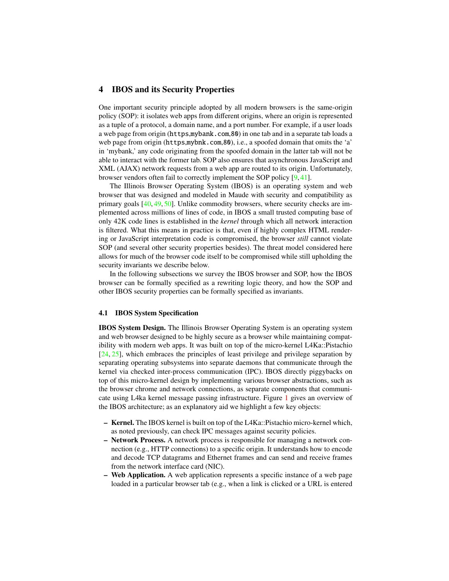## <span id="page-8-0"></span>4 IBOS and its Security Properties

One important security principle adopted by all modern browsers is the same-origin policy (SOP): it isolates web apps from different origins, where an origin is represented as a tuple of a protocol, a domain name, and a port number. For example, if a user loads a web page from origin (https,mybank.com,80) in one tab and in a separate tab loads a web page from origin (https,mybnk.com,80), i.e., a spoofed domain that omits the 'a' in 'mybank,' any code originating from the spoofed domain in the latter tab will not be able to interact with the former tab. SOP also ensures that asynchronous JavaScript and XML (AJAX) network requests from a web app are routed to its origin. Unfortunately, browser vendors often fail to correctly implement the SOP policy [\[9,](#page-15-7) [41\]](#page-16-12).

The Illinois Browser Operating System (IBOS) is an operating system and web browser that was designed and modeled in Maude with security and compatibility as primary goals [\[40,](#page-16-1) [49,](#page-17-0) [50\]](#page-17-1). Unlike commodity browsers, where security checks are implemented across millions of lines of code, in IBOS a small trusted computing base of only 42K code lines is established in the *kernel* through which all network interaction is filtered. What this means in practice is that, even if highly complex HTML rendering or JavaScript interpretation code is compromised, the browser *still* cannot violate SOP (and several other security properties besides). The threat model considered here allows for much of the browser code itself to be compromised while still upholding the security invariants we describe below.

In the following subsections we survey the IBOS browser and SOP, how the IBOS browser can be formally specified as a rewriting logic theory, and how the SOP and other IBOS security properties can be formally specified as invariants.

#### <span id="page-8-1"></span>4.1 IBOS System Specification

IBOS System Design. The Illinois Browser Operating System is an operating system and web browser designed to be highly secure as a browser while maintaining compatibility with modern web apps. It was built on top of the micro-kernel L4Ka::Pistachio [\[24,](#page-16-13) [25\]](#page-16-14), which embraces the principles of least privilege and privilege separation by separating operating subsystems into separate daemons that communicate through the kernel via checked inter-process communication (IPC). IBOS directly piggybacks on top of this micro-kernel design by implementing various browser abstractions, such as the browser chrome and network connections, as separate components that communicate using L4ka kernel message passing infrastructure. Figure [1](#page-9-0) gives an overview of the IBOS architecture; as an explanatory aid we highlight a few key objects:

- Kernel. The IBOS kernel is built on top of the L4Ka::Pistachio micro-kernel which, as noted previously, can check IPC messages against security policies.
- Network Process. A network process is responsible for managing a network connection (e.g., HTTP connections) to a specific origin. It understands how to encode and decode TCP datagrams and Ethernet frames and can send and receive frames from the network interface card (NIC).
- Web Application. A web application represents a specific instance of a web page loaded in a particular browser tab (e.g., when a link is clicked or a URL is entered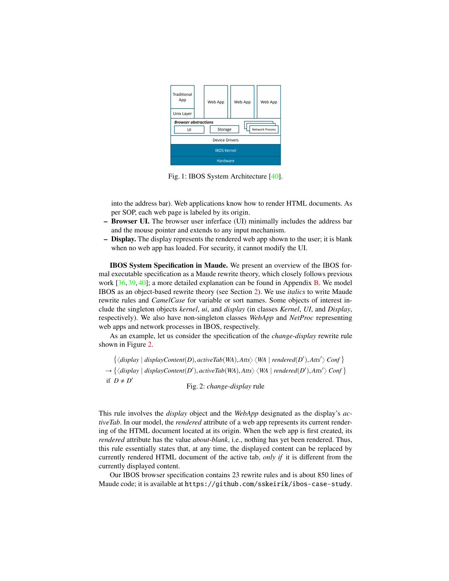<span id="page-9-0"></span>

Fig. 1: IBOS System Architecture [\[40\]](#page-16-1).

into the address bar). Web applications know how to render HTML documents. As per SOP, each web page is labeled by its origin.

- Browser UI. The browser user inferface (UI) minimally includes the address bar and the mouse pointer and extends to any input mechanism.
- Display. The display represents the rendered web app shown to the user; it is blank when no web app has loaded. For security, it cannot modify the UI.

IBOS System Specification in Maude. We present an overview of the IBOS formal executable specification as a Maude rewrite theory, which closely follows previous work  $[36, 39, 40]$  $[36, 39, 40]$  $[36, 39, 40]$  $[36, 39, 40]$  $[36, 39, 40]$ ; a more detailed explanation can be found in Appendix **B**. We model IBOS as an object-based rewrite theory (see Section [2\)](#page-2-0). We use *italics* to write Maude rewrite rules and *CamelCase* for variable or sort names. Some objects of interest include the singleton objects *kernel*, *ui*, and *display* (in classes *Kernel*, *UI*, and *Display*, respectively). We also have non-singleton classes *WebApp* and *NetProc* representing web apps and network processes in IBOS, respectively.

As an example, let us consider the specification of the *change-display* rewrite rule shown in Figure [2.](#page-9-1)

<span id="page-9-1"></span> $\{ \langle \text{display } p \mid \text{display } f(D), \text{activeTab}(WA), \text{Atts} \rangle \langle WA \mid \text{rendered}(D'), \text{Atts}' \rangle \text{ Conf } \}$  $\forall$  *kasplay* | *displayContent*(*D*<sup>*'*</sup>), *activeTab*(*WA*), *Atts* $\forall$ *WA* | *rendered*(*D*<sup>'</sup>), *Atts*<sup> $\land$ </sup> *Conf* } if  $D \neq D'$ Fig. 2: *change-display* rule

This rule involves the *display* object and the *WebApp* designated as the display's *activeTab*. In our model, the *rendered* attribute of a web app represents its current rendering of the HTML document located at its origin. When the web app is first created, its *rendered* attribute has the value *about-blank*, i.e., nothing has yet been rendered. Thus, this rule essentially states that, at any time, the displayed content can be replaced by currently rendered HTML document of the active tab, *only if* it is different from the currently displayed content.

Our IBOS browser specification contains 23 rewrite rules and is about 850 lines of Maude code; it is available at <https://github.com/sskeirik/ibos-case-study>.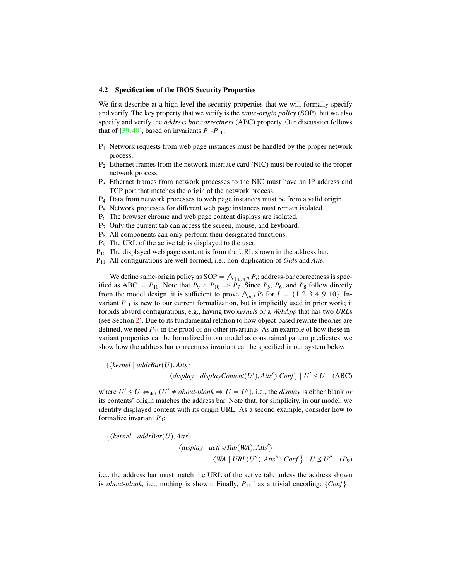#### <span id="page-10-0"></span>4.2 Specification of the IBOS Security Properties

We first describe at a high level the security properties that we will formally specify and verify. The key property that we verify is the *same-origin policy* (SOP), but we also specify and verify the *address bar correctness* (ABC) property. Our discussion follows that of  $[39, 40]$  $[39, 40]$  $[39, 40]$ , based on invariants  $P_1 - P_{11}$ :

- $P_1$  Network requests from web page instances must be handled by the proper network process.
- $P<sub>2</sub>$  Ethernet frames from the network interface card (NIC) must be routed to the proper network process.
- P<sup>3</sup> Ethernet frames from network processes to the NIC must have an IP address and TCP port that matches the origin of the network process.
- $P_4$  Data from network processes to web page instances must be from a valid origin.
- $P<sub>5</sub>$  Network processes for different web page instances must remain isolated.
- $P_6$  The browser chrome and web page content displays are isolated.
- $P_7$  Only the current tab can access the screen, mouse, and keyboard.
- P<sup>8</sup> All components can only perform their designated functions.
- P<sup>9</sup> The URL of the active tab is displayed to the user.
- $P_{10}$  The displayed web page content is from the URL shown in the address bar.
- P<sup>11</sup> All configurations are well-formed, i.e., non-duplication of *Oid*s and *Att*s.

We define same-origin policy as  $SOP = \bigwedge_{1 \le i \le 7} P_i$ ; address-bar correctness is specified as ABC =  $P_{10}$ . Note that  $P_9 \wedge P_{10} \Rightarrow P_7$ . Since  $P_5$ ,  $P_6$ , and  $P_8$  follow directly from the model design, it is sufficient to prove  $\bigwedge_{i \in I} P_i$  for  $I = \{1, 2, 3, 4, 9, 10\}$ . In-<br>primary *P<sub>1</sub>* is new to our current formalization but is implicitly used in prior work; it variant  $P_{11}$  is new to our current formalization, but is implicitly used in prior work; it forbids absurd configurations, e.g., having two *kernel*s or a *WebApp* that has two *URL*s (see Section [2\)](#page-2-0). Due to its fundamental relation to how object-based rewrite theories are defined, we need *P*<sup>11</sup> in the proof of *all* other invariants. As an example of how these invariant properties can be formalized in our model as constrained pattern predicates, we show how the address bar correctness invariant can be specified in our system below:

$$
{\langle \langle \text{kernel} \mid \text{addrBar}(U), \text{Atts} \rangle \over \langle \text{display} \mid \text{displayContent}(U'), \text{Atts'} \rangle \text{ Conf} } | U' \le U \quad (ABC)
$$

where  $U' \trianglelefteq U \Leftrightarrow_{def} (U' \neq about\text{-}blank \Rightarrow U = U')$ , i.e., the *display* is either blank *or* its contents' origin matches the address bar. Note that, for simplicity, in our model, we identify displayed content with its origin URL. As a second example, consider how to formalize invariant *P*<sub>9</sub>:

$$
\{\langle \text{kernel} \mid \text{addrBar}(U), \text{Atts} \rangle
$$
  
 
$$
\langle \text{display} \mid \text{activeTab}(WA), \text{Atts}' \rangle
$$
  
 
$$
\langle WA \mid \text{URL}(U''), \text{Atts}'' \rangle \text{ Conf } | \text{ } U \leq U'' \quad (P_9)
$$

i.e., the address bar must match the URL of the active tab, unless the address shown is *about-blank*, i.e., nothing is shown. Finally,  $P_{11}$  has a trivial encoding: {Conf} |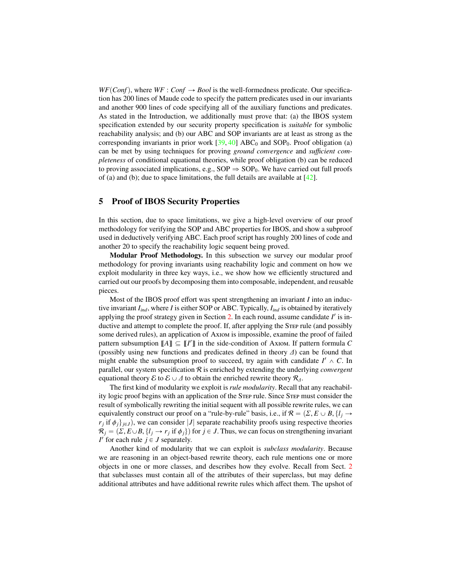$WF(Conf)$ , where  $WF: Conf \rightarrow Bool$  is the well-formedness predicate. Our specification has 200 lines of Maude code to specify the pattern predicates used in our invariants and another 900 lines of code specifying all of the auxiliary functions and predicates. As stated in the Introduction, we additionally must prove that: (a) the IBOS system specification extended by our security property specification is *suitable* for symbolic reachability analysis; and (b) our ABC and SOP invariants are at least as strong as the corresponding invariants in prior work  $[39, 40]$  $[39, 40]$  $[39, 40]$  ABC<sub>0</sub> and SOP<sub>0</sub>. Proof obligation (a) can be met by using techniques for proving *ground convergence* and *su*ffi*cient completeness* of conditional equational theories, while proof obligation (b) can be reduced to proving associated implications, e.g.,  $SOP \Rightarrow SOP_0$ . We have carried out full proofs of (a) and (b); due to space limitations, the full details are available at [\[42\]](#page-17-7).

# <span id="page-11-0"></span>5 Proof of IBOS Security Properties

In this section, due to space limitations, we give a high-level overview of our proof methodology for verifying the SOP and ABC properties for IBOS, and show a subproof used in deductively verifying ABC. Each proof script has roughly 200 lines of code and another 20 to specify the reachability logic sequent being proved.

Modular Proof Methodology. In this subsection we survey our modular proof methodology for proving invariants using reachability logic and comment on how we exploit modularity in three key ways, i.e., we show how we efficiently structured and carried out our proofs by decomposing them into composable, independent, and reusable pieces.

Most of the IBOS proof effort was spent strengthening an invariant *I* into an inductive invariant *Iind*, where *I* is either SOP or ABC. Typically, *Iind* is obtained by iteratively applying the proof strategy given in Section [2.](#page-2-0) In each round, assume candidate *I'* is inductive and attempt to complete the proof. If, after applying the STEP rule (and possibly some derived rules), an application of Axiom is impossible, examine the proof of failed pattern subsumption  $A \rVert \subseteq I'/\rVert$  in the side-condition of Axiom. If pattern formula C (possibly using new functions and predicates defined in theory ∆) can be found that might enable the subsumption proof to succeed, try again with candidate  $I' \wedge C$ . In parallel, our system specification R is enriched by extending the underlying *convergent* equational theory E to  $\mathcal{E} \cup \mathcal{A}$  to obtain the enriched rewrite theory  $\mathcal{R}_{\mathcal{A}}$ .

The first kind of modularity we exploit is *rule modularity*. Recall that any reachability logic proof begins with an application of the Step rule. Since Step must consider the result of symbolically rewriting the initial sequent with all possible rewrite rules, we can equivalently construct our proof on a "rule-by-rule" basis, i.e., if  $\mathcal{R} = (\Sigma, E \cup B, \{l_i \rightarrow$ *r*<sub>*j*</sub> if  $\phi_j$ }<sub>*j* $\in$ *J*), we can consider |*J*| separate reachability proofs using respective theories  $\mathcal{R} \cdot (-\sum_{i=1}^{\infty} F_i \cdot R_i / I_i \rightarrow r_i$  if  $\phi_i$ .) for  $i \in I$ . Thus, we can focus on strengthening invariant</sub>  $\mathcal{R}_j = (\Sigma, E \cup B, \{l_j \to r_j \text{ if } \phi_j\})$  for  $j \in J$ . Thus, we can focus on strengthening invariant  $I'$  for each rule  $j \in J$  separately *I*<sup> $\prime$ </sup> for each rule  $j \in J$  separately.

Another kind of modularity that we can exploit is *subclass modularity*. Because we are reasoning in an object-based rewrite theory, each rule mentions one or more objects in one or more classes, and describes how they evolve. Recall from Sect. [2](#page-2-0) that subclasses must contain all of the attributes of their superclass, but may define additional attributes and have additional rewrite rules which affect them. The upshot of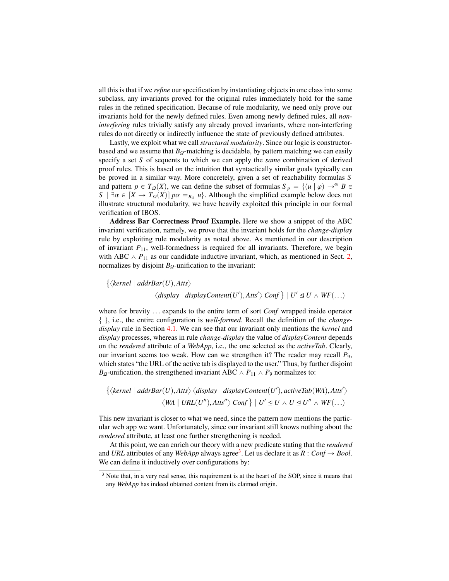all this is that if we *refine* our specification by instantiating objects in one class into some subclass, any invariants proved for the original rules immediately hold for the same rules in the refined specification. Because of rule modularity, we need only prove our invariants hold for the newly defined rules. Even among newly defined rules, all *noninterfering* rules trivially satisfy any already proved invariants, where non-interfering rules do not directly or indirectly influence the state of previously defined attributes.

Lastly, we exploit what we call *structural modularity*. Since our logic is constructorbased and we assume that  $B_{\Omega}$ -matching is decidable, by pattern matching we can easily specify a set *S* of sequents to which we can apply the *same* combination of derived proof rules. This is based on the intuition that syntactically similar goals typically can be proved in a similar way. More concretely, given a set of reachability formulas *S* and pattern  $p \in T_{\Omega}(X)$ , we can define the subset of formulas  $S_p = \{(u \mid \varphi) \rightarrow^{\circledast} B \in$  $S \mid \exists \alpha \in [X \rightarrow T_{\Omega}(X)]$   $p\alpha =_{B_{\Omega}} u$ . Although the simplified example below does not illustrate structural modularity, we have heavily exploited this principle in our formal illustrate structural modularity, we have heavily exploited this principle in our formal verification of IBOS.

Address Bar Correctness Proof Example. Here we show a snippet of the ABC invariant verification, namely, we prove that the invariant holds for the *change-display* rule by exploiting rule modularity as noted above. As mentioned in our description of invariant  $P_{11}$ , well-formedness is required for all invariants. Therefore, we begin with ABC  $\land$  *P*<sub>11</sub> as our candidate inductive invariant, which, as mentioned in Sect. [2,](#page-2-0) normalizes by disjoint *B*<sub>Ω</sub>-unification to the invariant:

 $\langle \textit{kernel} \mid \textit{addrBar}(U), \textit{Atts} \rangle$  $\langle \text{display} \rangle$   $\langle \text{display} \rangle$  *displayContent*(*U'*), *Atts<sup>1</sup>*  $\rangle$  *Conf*  $\rbrace$  | *U'*  $\leq U \wedge WF(\ldots)$ 

where for brevity ... expands to the entire term of sort *Conf* wrapped inside operator t u, i.e., the entire configuration is *well-formed*. Recall the definition of the *changedisplay* rule in Section [4.1.](#page-8-1) We can see that our invariant only mentions the *kernel* and *display* processes, whereas in rule *change-display* the value of *displayContent* depends on the *rendered* attribute of a *WebApp*, i.e., the one selected as the *activeTab*. Clearly, our invariant seems too weak. How can we strengthen it? The reader may recall *P*9, which states "the URL of the active tab is displayed to the user." Thus, by further disjoint *B*<sub> $Q$ </sub>-unification, the strengthened invariant ABC  $\land$  *P*<sub>11</sub>  $\land$  *P*<sub>9</sub> normalizes to:

$$
\{\langle \text{kernel} \mid \text{addrBar}(U), \text{Atts} \rangle \langle \text{display} \mid \text{displayContent}(U'), \text{activeTab}(WA), \text{Atts'} \rangle \\\langle WA \mid \text{URL}(U''), \text{Atts''} \rangle \text{Conf} \} \mid U' \leq U \land U \leq U'' \land \text{WF}(\ldots)
$$

This new invariant is closer to what we need, since the pattern now mentions the particular web app we want. Unfortunately, since our invariant still knows nothing about the *rendered* attribute, at least one further strengthening is needed.

At this point, we can enrich our theory with a new predicate stating that the *rendered* and *URL* attributes of any *WebApp* always agree<sup>[3](#page-12-0)</sup>. Let us declare it as  $R: Conf \rightarrow Bool$ . We can define it inductively over configurations by:

<span id="page-12-0"></span><sup>&</sup>lt;sup>3</sup> Note that, in a very real sense, this requirement is at the heart of the SOP, since it means that any *WebApp* has indeed obtained content from its claimed origin.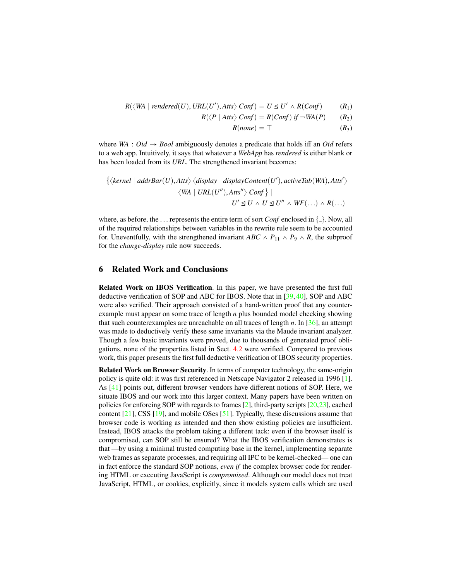$$
R(\langle WA \mid rendered(U), URL(U'), Atts \rangle Conf) = U \le U' \land R(Conf) \qquad (R_1)
$$

$$
R(\langle P | \textit{Atts} \rangle \textit{Conf}) = R(\textit{Conf}) \textit{ if } \neg \textit{WA}(P) \qquad (R_2)
$$

$$
R(none) = \top
$$
 (R<sub>3</sub>)

where *WA* : *Oid*  $\rightarrow$  *Bool* ambiguously denotes a predicate that holds iff an *Oid* refers to a web app. Intuitively, it says that whatever a *WebApp* has *rendered* is either blank or has been loaded from its *URL*. The strengthened invariant becomes:

$$
\{\langle \text{kernel} \mid \text{addrBar}(U), \text{Atts} \rangle \langle \text{display} \mid \text{displayContent}(U'), \text{activeTab}(WA), \text{Atts}' \rangle \\\langle WA \mid \text{URL}(U''), \text{Atts}'' \rangle \text{ Conf } \} \mid
$$

$$
U' \trianglelefteq U \wedge U \trianglelefteq U'' \wedge \text{WF}(\dots) \wedge R(\dots)
$$

where, as before, the ... represents the entire term of sort *Conf* enclosed in  $\{\frac{1}{2}\}$ . Now, all of the required relationships between variables in the rewrite rule seem to be accounted for. Uneventfully, with the strengthened invariant *ABC*  $\land$  *P*<sub>11</sub>  $\land$  *P*<sub>9</sub>  $\land$  *R*, the subproof for the *change-display* rule now succeeds.

## <span id="page-13-0"></span>6 Related Work and Conclusions

Related Work on IBOS Verification. In this paper, we have presented the first full deductive verification of SOP and ABC for IBOS. Note that in [\[39,](#page-16-0) [40\]](#page-16-1), SOP and ABC were also verified. Their approach consisted of a hand-written proof that any counterexample must appear on some trace of length *n* plus bounded model checking showing that such counterexamples are unreachable on all traces of length *n*. In [\[36\]](#page-16-2), an attempt was made to deductively verify these same invariants via the Maude invariant analyzer. Though a few basic invariants were proved, due to thousands of generated proof obligations, none of the properties listed in Sect. [4.2](#page-10-0) were verified. Compared to previous work, this paper presents the first full deductive verification of IBOS security properties.

Related Work on Browser Security. In terms of computer technology, the same-origin policy is quite old: it was first referenced in Netscape Navigator 2 released in 1996 [\[1\]](#page-15-8). As [\[41\]](#page-16-12) points out, different browser vendors have different notions of SOP. Here, we situate IBOS and our work into this larger context. Many papers have been written on policies for enforcing SOP with regards to frames [\[2\]](#page-15-9), third-party scripts [\[20](#page-15-10)[,23\]](#page-16-15), cached content [\[21\]](#page-15-11), CSS [\[19\]](#page-15-12), and mobile OSes [\[51\]](#page-17-9). Typically, these discussions assume that browser code is working as intended and then show existing policies are insufficient. Instead, IBOS attacks the problem taking a different tack: even if the browser itself is compromised, can SOP still be ensured? What the IBOS verification demonstrates is that —by using a minimal trusted computing base in the kernel, implementing separate web frames as separate processes, and requiring all IPC to be kernel-checked— one can in fact enforce the standard SOP notions, *even if* the complex browser code for rendering HTML or executing JavaScript is *compromised*. Although our model does not treat JavaScript, HTML, or cookies, explicitly, since it models system calls which are used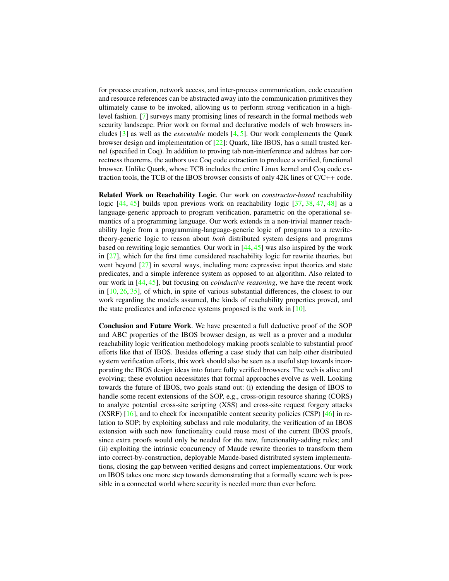for process creation, network access, and inter-process communication, code execution and resource references can be abstracted away into the communication primitives they ultimately cause to be invoked, allowing us to perform strong verification in a highlevel fashion. [\[7\]](#page-15-13) surveys many promising lines of research in the formal methods web security landscape. Prior work on formal and declarative models of web browsers includes [\[3\]](#page-15-14) as well as the *executable* models [\[4,](#page-15-15) [5\]](#page-15-16). Our work complements the Quark browser design and implementation of [\[22\]](#page-16-16): Quark, like IBOS, has a small trusted kernel (specified in Coq). In addition to proving tab non-interference and address bar correctness theorems, the authors use Coq code extraction to produce a verified, functional browser. Unlike Quark, whose TCB includes the entire Linux kernel and Coq code extraction tools, the TCB of the IBOS browser consists of only 42K lines of C/C++ code.

Related Work on Reachability Logic. Our work on *constructor-based* reachability logic [\[44,](#page-17-3) [45\]](#page-17-4) builds upon previous work on reachability logic [\[37,](#page-16-5) [38,](#page-16-6) [47,](#page-17-5) [48\]](#page-17-6) as a language-generic approach to program verification, parametric on the operational semantics of a programming language. Our work extends in a non-trivial manner reachability logic from a programming-language-generic logic of programs to a rewritetheory-generic logic to reason about *both* distributed system designs and programs based on rewriting logic semantics. Our work in  $[44, 45]$  $[44, 45]$  $[44, 45]$  was also inspired by the work in [\[27\]](#page-16-17), which for the first time considered reachability logic for rewrite theories, but went beyond [\[27\]](#page-16-17) in several ways, including more expressive input theories and state predicates, and a simple inference system as opposed to an algorithm. Also related to our work in [\[44,](#page-17-3) [45\]](#page-17-4), but focusing on *coinductive reasoning*, we have the recent work in  $[10, 26, 35]$  $[10, 26, 35]$  $[10, 26, 35]$  $[10, 26, 35]$  $[10, 26, 35]$ , of which, in spite of various substantial differences, the closest to our work regarding the models assumed, the kinds of reachability properties proved, and the state predicates and inference systems proposed is the work in  $[10]$ .

Conclusion and Future Work. We have presented a full deductive proof of the SOP and ABC properties of the IBOS browser design, as well as a prover and a modular reachability logic verification methodology making proofs scalable to substantial proof efforts like that of IBOS. Besides offering a case study that can help other distributed system verification efforts, this work should also be seen as a useful step towards incorporating the IBOS design ideas into future fully verified browsers. The web is alive and evolving; these evolution necessitates that formal approaches evolve as well. Looking towards the future of IBOS, two goals stand out: (i) extending the design of IBOS to handle some recent extensions of the SOP, e.g., cross-origin resource sharing (CORS) to analyze potential cross-site scripting (XSS) and cross-site request forgery attacks  $(XSRF)$  [\[16\]](#page-15-18), and to check for incompatible content security policies  $(CSP)$  [\[46\]](#page-17-10) in relation to SOP; by exploiting subclass and rule modularity, the verification of an IBOS extension with such new functionality could reuse most of the current IBOS proofs, since extra proofs would only be needed for the new, functionality-adding rules; and (ii) exploiting the intrinsic concurrency of Maude rewrite theories to transform them into correct-by-construction, deployable Maude-based distributed system implementations, closing the gap between verified designs and correct implementations. Our work on IBOS takes one more step towards demonstrating that a formally secure web is possible in a connected world where security is needed more than ever before.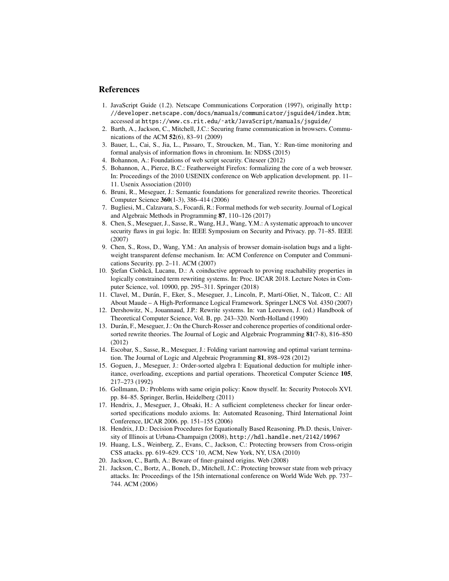## References

- <span id="page-15-8"></span>1. JavaScript Guide (1.2). Netscape Communications Corporation (1997), originally [http:](http://developer.netscape.com/docs/manuals/communicator/jsguide4/index.htm) [//developer.netscape.com/docs/manuals/communicator/jsguide4/index.htm](http://developer.netscape.com/docs/manuals/communicator/jsguide4/index.htm); accessed at [https://www.cs.rit.edu/˜atk/JavaScript/manuals/jsguide/](https://www.cs.rit.edu/~atk/JavaScript/manuals/jsguide/)
- <span id="page-15-9"></span>2. Barth, A., Jackson, C., Mitchell, J.C.: Securing frame communication in browsers. Communications of the ACM 52(6), 83–91 (2009)
- <span id="page-15-14"></span>3. Bauer, L., Cai, S., Jia, L., Passaro, T., Stroucken, M., Tian, Y.: Run-time monitoring and formal analysis of information flows in chromium. In: NDSS (2015)
- <span id="page-15-15"></span>4. Bohannon, A.: Foundations of web script security. Citeseer (2012)
- <span id="page-15-16"></span>5. Bohannon, A., Pierce, B.C.: Featherweight Firefox: formalizing the core of a web browser. In: Proceedings of the 2010 USENIX conference on Web application development. pp. 11– 11. Usenix Association (2010)
- <span id="page-15-4"></span>6. Bruni, R., Meseguer, J.: Semantic foundations for generalized rewrite theories. Theoretical Computer Science 360(1-3), 386–414 (2006)
- <span id="page-15-13"></span>7. Bugliesi, M., Calzavara, S., Focardi, R.: Formal methods for web security. Journal of Logical and Algebraic Methods in Programming 87, 110–126 (2017)
- <span id="page-15-1"></span>8. Chen, S., Meseguer, J., Sasse, R., Wang, H.J., Wang, Y.M.: A systematic approach to uncover security flaws in gui logic. In: IEEE Symposium on Security and Privacy. pp. 71–85. IEEE (2007)
- <span id="page-15-7"></span>9. Chen, S., Ross, D., Wang, Y.M.: An analysis of browser domain-isolation bugs and a lightweight transparent defense mechanism. In: ACM Conference on Computer and Communications Security. pp. 2–11. ACM (2007)
- <span id="page-15-17"></span>10. Stefan Ciobâcă, Lucanu, D.: A coinductive approach to proving reachability properties in logically constrained term rewriting systems. In: Proc. IJCAR 2018. Lecture Notes in Computer Science, vol. 10900, pp. 295–311. Springer (2018)
- <span id="page-15-0"></span>11. Clavel, M., Durán, F., Eker, S., Meseguer, J., Lincoln, P., Martí-Oliet, N., Talcott, C.: All About Maude – A High-Performance Logical Framework. Springer LNCS Vol. 4350 (2007)
- <span id="page-15-5"></span>12. Dershowitz, N., Jouannaud, J.P.: Rewrite systems. In: van Leeuwen, J. (ed.) Handbook of Theoretical Computer Science, Vol. B, pp. 243–320. North-Holland (1990)
- <span id="page-15-6"></span>13. Durán, F., Meseguer, J.: On the Church-Rosser and coherence properties of conditional ordersorted rewrite theories. The Journal of Logic and Algebraic Programming 81(7-8), 816–850 (2012)
- <span id="page-15-2"></span>14. Escobar, S., Sasse, R., Meseguer, J.: Folding variant narrowing and optimal variant termination. The Journal of Logic and Algebraic Programming 81, 898–928 (2012)
- <span id="page-15-3"></span>15. Goguen, J., Meseguer, J.: Order-sorted algebra I: Equational deduction for multiple inheritance, overloading, exceptions and partial operations. Theoretical Computer Science 105, 217–273 (1992)
- <span id="page-15-18"></span>16. Gollmann, D.: Problems with same origin policy: Know thyself. In: Security Protocols XVI. pp. 84–85. Springer, Berlin, Heidelberg (2011)
- <span id="page-15-19"></span>17. Hendrix, J., Meseguer, J., Ohsaki, H.: A sufficient completeness checker for linear ordersorted specifications modulo axioms. In: Automated Reasoning, Third International Joint Conference, IJCAR 2006. pp. 151–155 (2006)
- <span id="page-15-20"></span>18. Hendrix, J.D.: Decision Procedures for Equationally Based Reasoning. Ph.D. thesis, University of Illinois at Urbana-Champaign (2008), http://hdl.handle.net/2142/10967
- <span id="page-15-12"></span>19. Huang, L.S., Weinberg, Z., Evans, C., Jackson, C.: Protecting browsers from Cross-origin CSS attacks. pp. 619–629. CCS '10, ACM, New York, NY, USA (2010)
- <span id="page-15-10"></span>20. Jackson, C., Barth, A.: Beware of finer-grained origins. Web (2008)
- <span id="page-15-11"></span>21. Jackson, C., Bortz, A., Boneh, D., Mitchell, J.C.: Protecting browser state from web privacy attacks. In: Proceedings of the 15th international conference on World Wide Web. pp. 737– 744. ACM (2006)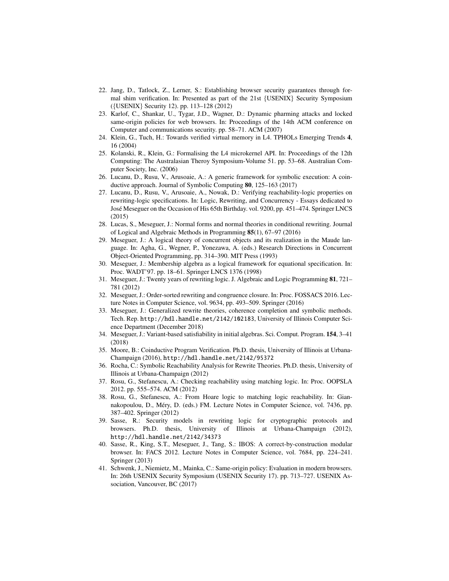- <span id="page-16-16"></span>22. Jang, D., Tatlock, Z., Lerner, S.: Establishing browser security guarantees through formal shim verification. In: Presented as part of the  $21st$  {USENIX} Security Symposium  $({\text{USENIX}} \text{Security 12})$ . pp. 113–128 (2012)
- <span id="page-16-15"></span>23. Karlof, C., Shankar, U., Tygar, J.D., Wagner, D.: Dynamic pharming attacks and locked same-origin policies for web browsers. In: Proceedings of the 14th ACM conference on Computer and communications security. pp. 58–71. ACM (2007)
- <span id="page-16-13"></span>24. Klein, G., Tuch, H.: Towards verified virtual memory in L4. TPHOLs Emerging Trends 4, 16 (2004)
- <span id="page-16-14"></span>25. Kolanski, R., Klein, G.: Formalising the L4 microkernel API. In: Proceedings of the 12th Computing: The Australasian Theroy Symposium-Volume 51. pp. 53–68. Australian Computer Society, Inc. (2006)
- <span id="page-16-18"></span>26. Lucanu, D., Rusu, V., Arusoaie, A.: A generic framework for symbolic execution: A coinductive approach. Journal of Symbolic Computing 80, 125–163 (2017)
- <span id="page-16-17"></span>27. Lucanu, D., Rusu, V., Arusoaie, A., Nowak, D.: Verifying reachability-logic properties on rewriting-logic specifications. In: Logic, Rewriting, and Concurrency - Essays dedicated to Jose Meseguer on the Occasion of His 65th Birthday. vol. 9200, pp. 451–474. Springer LNCS ´ (2015)
- <span id="page-16-9"></span>28. Lucas, S., Meseguer, J.: Normal forms and normal theories in conditional rewriting. Journal of Logical and Algebraic Methods in Programming 85(1), 67–97 (2016)
- <span id="page-16-10"></span>29. Meseguer, J.: A logical theory of concurrent objects and its realization in the Maude language. In: Agha, G., Wegner, P., Yonezawa, A. (eds.) Research Directions in Concurrent Object-Oriented Programming, pp. 314–390. MIT Press (1993)
- <span id="page-16-7"></span>30. Meseguer, J.: Membership algebra as a logical framework for equational specification. In: Proc. WADT'97. pp. 18–61. Springer LNCS 1376 (1998)
- <span id="page-16-8"></span>31. Meseguer, J.: Twenty years of rewriting logic. J. Algebraic and Logic Programming 81, 721– 781 (2012)
- <span id="page-16-3"></span>32. Meseguer, J.: Order-sorted rewriting and congruence closure. In: Proc. FOSSACS 2016. Lecture Notes in Computer Science, vol. 9634, pp. 493–509. Springer (2016)
- <span id="page-16-11"></span>33. Meseguer, J.: Generalized rewrite theories, coherence completion and symbolic methods. Tech. Rep. http://hdl.handle.net/2142/102183, University of Illinois Computer Science Department (December 2018)
- <span id="page-16-4"></span>34. Meseguer, J.: Variant-based satisfiability in initial algebras. Sci. Comput. Program. 154, 3–41 (2018)
- <span id="page-16-19"></span>35. Moore, B.: Coinductive Program Verification. Ph.D. thesis, University of Illinois at Urbana-Champaign (2016), http://hdl.handle.net/2142/95372
- <span id="page-16-2"></span>36. Rocha, C.: Symbolic Reachability Analysis for Rewrite Theories. Ph.D. thesis, University of Illinois at Urbana-Champaign (2012)
- <span id="page-16-5"></span>37. Rosu, G., Stefanescu, A.: Checking reachability using matching logic. In: Proc. OOPSLA 2012. pp. 555–574. ACM (2012)
- <span id="page-16-6"></span>38. Rosu, G., Stefanescu, A.: From Hoare logic to matching logic reachability. In: Giannakopoulou, D., Méry, D. (eds.) FM. Lecture Notes in Computer Science, vol. 7436, pp. 387–402. Springer (2012)
- <span id="page-16-0"></span>39. Sasse, R.: Security models in rewriting logic for cryptographic protocols and browsers. Ph.D. thesis, University of Illinois at Urbana-Champaign (2012), http://hdl.handle.net/2142/34373
- <span id="page-16-1"></span>40. Sasse, R., King, S.T., Meseguer, J., Tang, S.: IBOS: A correct-by-construction modular browser. In: FACS 2012. Lecture Notes in Computer Science, vol. 7684, pp. 224–241. Springer (2013)
- <span id="page-16-12"></span>41. Schwenk, J., Niemietz, M., Mainka, C.: Same-origin policy: Evaluation in modern browsers. In: 26th USENIX Security Symposium (USENIX Security 17). pp. 713–727. USENIX Association, Vancouver, BC (2017)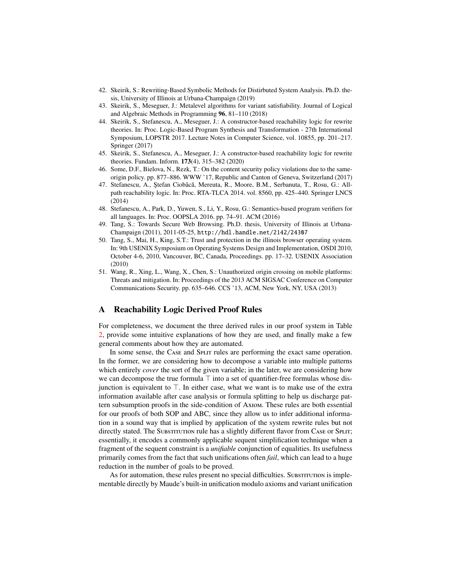- <span id="page-17-7"></span>42. Skeirik, S.: Rewriting-Based Symbolic Methods for Distirbuted System Analysis. Ph.D. thesis, University of Illinois at Urbana-Champaign (2019)
- <span id="page-17-2"></span>43. Skeirik, S., Meseguer, J.: Metalevel algorithms for variant satisfiability. Journal of Logical and Algebraic Methods in Programming 96, 81–110 (2018)
- <span id="page-17-3"></span>44. Skeirik, S., Stefanescu, A., Meseguer, J.: A constructor-based reachability logic for rewrite theories. In: Proc. Logic-Based Program Synthesis and Transformation - 27th International Symposium, LOPSTR 2017. Lecture Notes in Computer Science, vol. 10855, pp. 201–217. Springer (2017)
- <span id="page-17-4"></span>45. Skeirik, S., Stefanescu, A., Meseguer, J.: A constructor-based reachability logic for rewrite theories. Fundam. Inform. 173(4), 315–382 (2020)
- <span id="page-17-10"></span>46. Some, D.F., Bielova, N., Rezk, T.: On the content security policy violations due to the sameorigin policy. pp. 877–886. WWW '17, Republic and Canton of Geneva, Switzerland (2017)
- <span id="page-17-5"></span>47. Stefanescu, A., Ştefan Ciobâcă, Mereuta, R., Moore, B.M., Serbanuta, T., Rosu, G.: Allpath reachability logic. In: Proc. RTA-TLCA 2014. vol. 8560, pp. 425–440. Springer LNCS (2014)
- <span id="page-17-6"></span>48. Stefanescu, A., Park, D., Yuwen, S., Li, Y., Rosu, G.: Semantics-based program verifiers for all languages. In: Proc. OOPSLA 2016. pp. 74–91. ACM (2016)
- <span id="page-17-0"></span>49. Tang, S.: Towards Secure Web Browsing. Ph.D. thesis, University of Illinois at Urbana-Champaign (2011), 2011-05-25, http://hdl.handle.net/2142/24307
- <span id="page-17-1"></span>50. Tang, S., Mai, H., King, S.T.: Trust and protection in the illinois browser operating system. In: 9th USENIX Symposium on Operating Systems Design and Implementation, OSDI 2010, October 4-6, 2010, Vancouver, BC, Canada, Proceedings. pp. 17–32. USENIX Association (2010)
- <span id="page-17-9"></span>51. Wang, R., Xing, L., Wang, X., Chen, S.: Unauthorized origin crossing on mobile platforms: Threats and mitigation. In: Proceedings of the 2013 ACM SIGSAC Conference on Computer Communications Security. pp. 635–646. CCS '13, ACM, New York, NY, USA (2013)

# <span id="page-17-8"></span>A Reachability Logic Derived Proof Rules

For completeness, we document the three derived rules in our proof system in Table [2,](#page-18-1) provide some intuitive explanations of how they are used, and finally make a few general comments about how they are automated.

In some sense, the Case and Split rules are performing the exact same operation. In the former, we are considering how to decompose a variable into multiple patterns which entirely *cover* the sort of the given variable; in the later, we are considering how we can decompose the true formula  $\top$  into a set of quantifier-free formulas whose disjunction is equivalent to  $\top$ . In either case, what we want is to make use of the extra information available after case analysis or formula splitting to help us discharge pattern subsumption proofs in the side-condition of Axiom. These rules are both essential for our proofs of both SOP and ABC, since they allow us to infer additional information in a sound way that is implied by application of the system rewrite rules but not directly stated. The SUBSTITUTION rule has a slightly different flavor from CASE or SPLIT; essentially, it encodes a commonly applicable sequent simplification technique when a fragment of the sequent constraint is a *unifiable* conjunction of equalities. Its usefulness primarily comes from the fact that such unifications often *fail*, which can lead to a huge reduction in the number of goals to be proved.

As for automation, these rules present no special difficulties. SUBSTITUTION is implementable directly by Maude's built-in unification modulo axioms and variant unification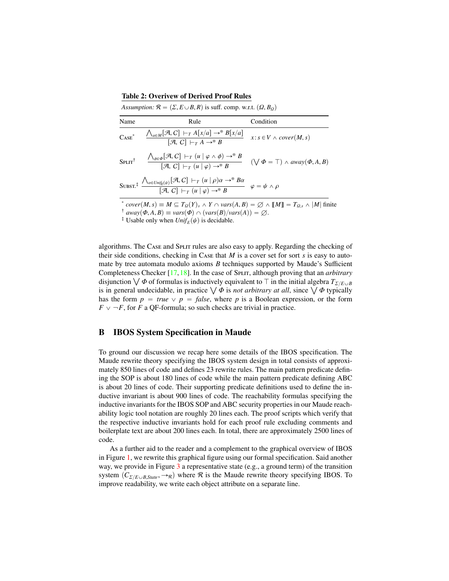<span id="page-18-1"></span>Table 2: Overivew of Derived Proof Rules

| Name                | Rule                                                                                                                                                                                                                                         | Condition                                       |
|---------------------|----------------------------------------------------------------------------------------------------------------------------------------------------------------------------------------------------------------------------------------------|-------------------------------------------------|
| $\mathbf{CASE}^*$   | $\frac{\bigwedge_{a \in M} [\mathcal{A}, C] \vdash_T A[x/a] \rightarrow^{\circ} B[x/a]}{[\mathcal{A}, C] \vdash_T A \rightarrow^{\circ} B}$                                                                                                  | $x: s \in V \wedge cover(M, s)$                 |
| $S$ PLIT $^\dagger$ | $\frac{\bigwedge_{\phi \in \Phi} [\mathcal{A}, C] \vdash_T (u \mid \varphi \wedge \phi) \rightarrow^{\circledast} B}{[\mathcal{A}, C] \vdash_T (u \mid \varphi) \rightarrow^{\circledast} B}$                                                | $(\bigvee \Phi = \top) \wedge away(\Phi, A, B)$ |
|                     | SUBST. <sup>‡</sup> $\frac{\bigwedge_{\alpha \in Unif_E(\psi)} [\mathcal{A}, C] \models_T (u \mid \rho) \alpha \rightarrow^{\circ} B \alpha}{[\mathcal{A}, C] \models_T (u \mid \varphi) \rightarrow^{\circ} B}$ $\varphi = \psi \land \rho$ |                                                 |

*Assumption:*  $\mathcal{R} = (\Sigma, E \cup B, R)$  is suff. comp. w.r.t.  $(\Omega, B_{\Omega})$ 

<sup>*r*</sup> *cover*(*M*, *s*)  $\equiv M \subseteq T_{\Omega}(Y)$ ,  $\land Y \cap \text{vars}(A, B) = \emptyset \land [M] = T_{\Omega, s} \land |M|$  finite  $\downarrow$  *n*wav( $\Phi$ , *A*  $B$ )  $\equiv \text{vars}(\Phi) \circ (\text{vars}(B)/\text{vars}(A)) - \emptyset$ 

 $^{\dagger}$  *away* $(\Phi, A, B) \equiv \text{vars}(\Phi) \cap (\text{vars}(B)/\text{vars}(A)) = \emptyset.$ <br>  $^{\dagger}$  Usable only when *Unif* (*v*) is decidable

<sup>‡</sup> Usable only when  $Unif_E(\psi)$  is decidable.

algorithms. The CASE and SPLIT rules are also easy to apply. Regarding the checking of their side conditions, checking in Case that *M* is a cover set for sort *s* is easy to automate by tree automata modulo axioms *B* techniques supported by Maude's Sufficient Completeness Checker [\[17,](#page-15-19)[18\]](#page-15-20). In the case of Split, although proving that an *arbitrary* Completeness Checker [17, 18]. In the case of SpLIT, although proving that an *arbitrary*<br>disjunction  $\bigvee \Phi$  of formulas is inductively equivalent to  $\top$  in the initial algebra  $T_{\Sigma/E\cup B}$ <br>is in general undecidable, in disjunction  $\bigvee \Phi$  of formulas is inductively equivalent to  $\perp$  in the initial algebra  $T_{\Sigma/E\cup B}$ <br>is in general undecidable, in practice  $\bigvee \Phi$  is *not arbitrary at all*, since  $\bigvee \Phi$  typically<br>has the form  $n = true \$ has the form  $p = true \vee p = false$ , where p is a Boolean expression, or the form  $F \vee \neg F$ , for *F* a QF-formula; so such checks are trivial in practice.

## <span id="page-18-0"></span>B IBOS System Specification in Maude

To ground our discussion we recap here some details of the IBOS specification. The Maude rewrite theory specifying the IBOS system design in total consists of approximately 850 lines of code and defines 23 rewrite rules. The main pattern predicate defining the SOP is about 180 lines of code while the main pattern predicate defining ABC is about 20 lines of code. Their supporting predicate definitions used to define the inductive invariant is about 900 lines of code. The reachability formulas specifying the inductive invariants for the IBOS SOP and ABC security properties in our Maude reachability logic tool notation are roughly 20 lines each. The proof scripts which verify that the respective inductive invariants hold for each proof rule excluding comments and boilerplate text are about 200 lines each. In total, there are approximately 2500 lines of code.

As a further aid to the reader and a complement to the graphical overview of IBOS in Figure [1,](#page-9-0) we rewrite this graphical figure using our formal specification. Said another way, we provide in Figure [3](#page-20-0) a representative state  $(e.g., a ground term)$  of the transition system  $(C_{\Sigma/E\cup BState}, \rightarrow_R)$  where R is the Maude rewrite theory specifying IBOS. To improve readability, we write each object attribute on a separate line.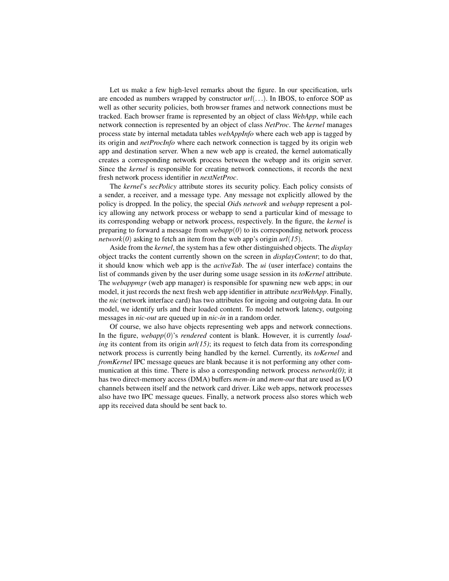Let us make a few high-level remarks about the figure. In our specification, urls are encoded as numbers wrapped by constructor  $url(\ldots)$ . In IBOS, to enforce SOP as well as other security policies, both browser frames and network connections must be tracked. Each browser frame is represented by an object of class *WebApp*, while each network connection is represented by an object of class *NetProc*. The *kernel* manages process state by internal metadata tables *webAppInfo* where each web app is tagged by its origin and *netProcInfo* where each network connection is tagged by its origin web app and destination server. When a new web app is created, the kernel automatically creates a corresponding network process between the webapp and its origin server. Since the *kernel* is responsible for creating network connections, it records the next fresh network process identifier in *nextNetProc*.

The *kernel*'s *secPolicy* attribute stores its security policy. Each policy consists of a sender, a receiver, and a message type. Any message not explicitly allowed by the policy is dropped. In the policy, the special *Oid*s *network* and *webapp* represent a policy allowing any network process or webapp to send a particular kind of message to its corresponding webapp or network process, respectively. In the figure, the *kernel* is preparing to forward a message from  $webapp(0)$  to its corresponding network process *network* $(0)$  asking to fetch an item from the web app's origin  $url(15)$ .

Aside from the *kernel*, the system has a few other distinguished objects. The *display* object tracks the content currently shown on the screen in *displayContent*; to do that, it should know which web app is the *activeTab*. The *ui* (user interface) contains the list of commands given by the user during some usage session in its *toKernel* attribute. The *webappmgr* (web app manager) is responsible for spawning new web apps; in our model, it just records the next fresh web app identifier in attribute *nextWebApp*. Finally, the *nic* (network interface card) has two attributes for ingoing and outgoing data. In our model, we identify urls and their loaded content. To model network latency, outgoing messages in *nic-out* are queued up in *nic-in* in a random order.

Of course, we also have objects representing web apps and network connections. In the figure,  $webapp(0)$ 's *rendered* content is blank. However, it is currently *loading* its content from its origin *url(15)*; its request to fetch data from its corresponding network process is currently being handled by the kernel. Currently, its *toKernel* and *fromKernel* IPC message queues are blank because it is not performing any other communication at this time. There is also a corresponding network process *network(0)*; it has two direct-memory access (DMA) buffers *mem-in* and *mem-out* that are used as I/O channels between itself and the network card driver. Like web apps, network processes also have two IPC message queues. Finally, a network process also stores which web app its received data should be sent back to.